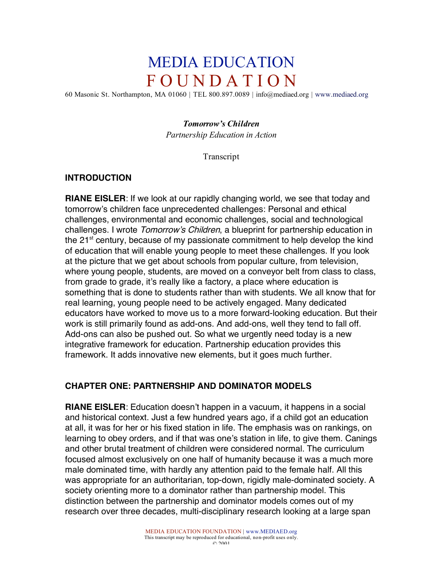# MEDIA EDUCATION F O U N D A T I O N

60 Masonic St. Northampton, MA 01060 | TEL 800.897.0089 | info@mediaed.org | www.mediaed.org

#### *Tomorrow's Children*

*Partnership Education in Action*

Transcript

#### **INTRODUCTION**

**RIANE EISLER**: If we look at our rapidly changing world, we see that today and tomorrow's children face unprecedented challenges: Personal and ethical challenges, environmental and economic challenges, social and technological challenges. I wrote Tomorrow's Children, a blueprint for partnership education in the 21<sup>st</sup> century, because of my passionate commitment to help develop the kind of education that will enable young people to meet these challenges. If you look at the picture that we get about schools from popular culture, from television, where young people, students, are moved on a conveyor belt from class to class, from grade to grade, it's really like a factory, a place where education is something that is done to students rather than with students. We all know that for real learning, young people need to be actively engaged. Many dedicated educators have worked to move us to a more forward-looking education. But their work is still primarily found as add-ons. And add-ons, well they tend to fall off. Add-ons can also be pushed out. So what we urgently need today is a new integrative framework for education. Partnership education provides this framework. It adds innovative new elements, but it goes much further.

## **CHAPTER ONE: PARTNERSHIP AND DOMINATOR MODELS**

**RIANE EISLER**: Education doesn't happen in a vacuum, it happens in a social and historical context. Just a few hundred years ago, if a child got an education at all, it was for her or his fixed station in life. The emphasis was on rankings, on learning to obey orders, and if that was one's station in life, to give them. Canings and other brutal treatment of children were considered normal. The curriculum focused almost exclusively on one half of humanity because it was a much more male dominated time, with hardly any attention paid to the female half. All this was appropriate for an authoritarian, top-down, rigidly male-dominated society. A society orienting more to a dominator rather than partnership model. This distinction between the partnership and dominator models comes out of my research over three decades, multi-disciplinary research looking at a large span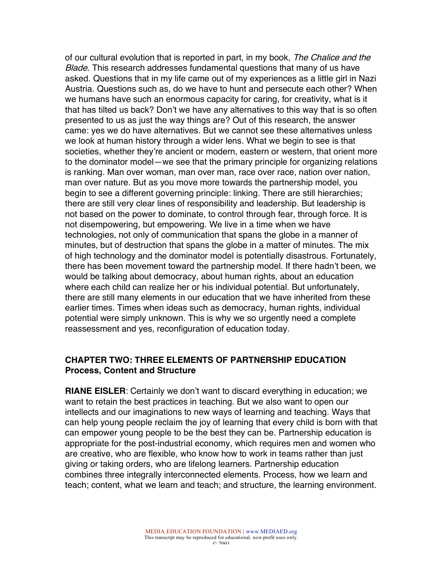of our cultural evolution that is reported in part, in my book, The Chalice and the Blade. This research addresses fundamental questions that many of us have asked. Questions that in my life came out of my experiences as a little girl in Nazi Austria. Questions such as, do we have to hunt and persecute each other? When we humans have such an enormous capacity for caring, for creativity, what is it that has tilted us back? Don't we have any alternatives to this way that is so often presented to us as just the way things are? Out of this research, the answer came: yes we do have alternatives. But we cannot see these alternatives unless we look at human history through a wider lens. What we begin to see is that societies, whether they're ancient or modern, eastern or western, that orient more to the dominator model—we see that the primary principle for organizing relations is ranking. Man over woman, man over man, race over race, nation over nation, man over nature. But as you move more towards the partnership model, you begin to see a different governing principle: linking. There are still hierarchies; there are still very clear lines of responsibility and leadership. But leadership is not based on the power to dominate, to control through fear, through force. It is not disempowering, but empowering. We live in a time when we have technologies, not only of communication that spans the globe in a manner of minutes, but of destruction that spans the globe in a matter of minutes. The mix of high technology and the dominator model is potentially disastrous. Fortunately, there has been movement toward the partnership model. If there hadn't been, we would be talking about democracy, about human rights, about an education where each child can realize her or his individual potential. But unfortunately, there are still many elements in our education that we have inherited from these earlier times. Times when ideas such as democracy, human rights, individual potential were simply unknown. This is why we so urgently need a complete reassessment and yes, reconfiguration of education today.

#### **CHAPTER TWO: THREE ELEMENTS OF PARTNERSHIP EDUCATION Process, Content and Structure**

**RIANE EISLER**: Certainly we don't want to discard everything in education; we want to retain the best practices in teaching. But we also want to open our intellects and our imaginations to new ways of learning and teaching. Ways that can help young people reclaim the joy of learning that every child is born with that can empower young people to be the best they can be. Partnership education is appropriate for the post-industrial economy, which requires men and women who are creative, who are flexible, who know how to work in teams rather than just giving or taking orders, who are lifelong learners. Partnership education combines three integrally interconnected elements. Process, how we learn and teach; content, what we learn and teach; and structure, the learning environment.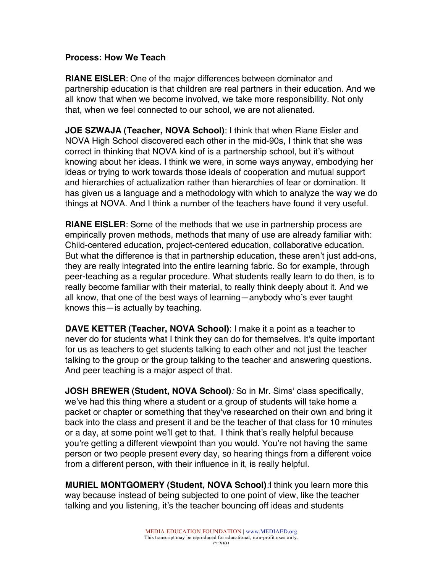#### **Process: How We Teach**

**RIANE EISLER**: One of the major differences between dominator and partnership education is that children are real partners in their education. And we all know that when we become involved, we take more responsibility. Not only that, when we feel connected to our school, we are not alienated.

**JOE SZWAJA (Teacher, NOVA School)**: I think that when Riane Eisler and NOVA High School discovered each other in the mid-90s, I think that she was correct in thinking that NOVA kind of is a partnership school, but it's without knowing about her ideas. I think we were, in some ways anyway, embodying her ideas or trying to work towards those ideals of cooperation and mutual support and hierarchies of actualization rather than hierarchies of fear or domination. It has given us a language and a methodology with which to analyze the way we do things at NOVA. And I think a number of the teachers have found it very useful.

**RIANE EISLER**: Some of the methods that we use in partnership process are empirically proven methods, methods that many of use are already familiar with: Child-centered education, project-centered education, collaborative education. But what the difference is that in partnership education, these aren't just add-ons, they are really integrated into the entire learning fabric. So for example, through peer-teaching as a regular procedure. What students really learn to do then, is to really become familiar with their material, to really think deeply about it. And we all know, that one of the best ways of learning—anybody who's ever taught knows this—is actually by teaching.

**DAVE KETTER (Teacher, NOVA School)**: I make it a point as a teacher to never do for students what I think they can do for themselves. It's quite important for us as teachers to get students talking to each other and not just the teacher talking to the group or the group talking to the teacher and answering questions. And peer teaching is a major aspect of that.

**JOSH BREWER (Student, NOVA School)**: So in Mr. Sims' class specifically, we've had this thing where a student or a group of students will take home a packet or chapter or something that they've researched on their own and bring it back into the class and present it and be the teacher of that class for 10 minutes or a day, at some point we'll get to that. I think that's really helpful because you're getting a different viewpoint than you would. You're not having the same person or two people present every day, so hearing things from a different voice from a different person, with their influence in it, is really helpful.

**MURIEL MONTGOMERY (Student, NOVA School)**:I think you learn more this way because instead of being subjected to one point of view, like the teacher talking and you listening, it's the teacher bouncing off ideas and students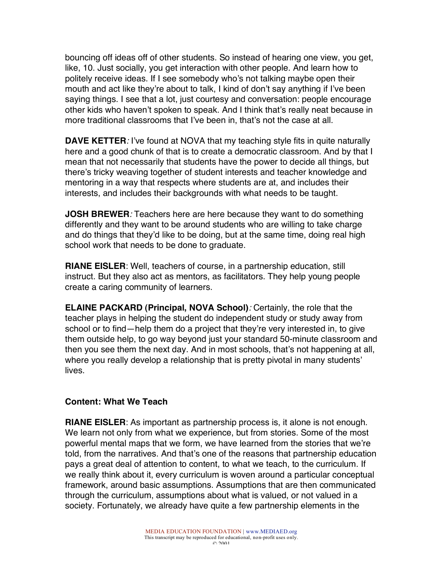bouncing off ideas off of other students. So instead of hearing one view, you get, like, 10. Just socially, you get interaction with other people. And learn how to politely receive ideas. If I see somebody who's not talking maybe open their mouth and act like they're about to talk, I kind of don't say anything if I've been saying things. I see that a lot, just courtesy and conversation: people encourage other kids who haven't spoken to speak. And I think that's really neat because in more traditional classrooms that I've been in, that's not the case at all.

**DAVE KETTER**: I've found at NOVA that my teaching style fits in quite naturally here and a good chunk of that is to create a democratic classroom. And by that I mean that not necessarily that students have the power to decide all things, but there's tricky weaving together of student interests and teacher knowledge and mentoring in a way that respects where students are at, and includes their interests, and includes their backgrounds with what needs to be taught.

**JOSH BREWER**: Teachers here are here because they want to do something differently and they want to be around students who are willing to take charge and do things that they'd like to be doing, but at the same time, doing real high school work that needs to be done to graduate.

**RIANE EISLER**: Well, teachers of course, in a partnership education, still instruct. But they also act as mentors, as facilitators. They help young people create a caring community of learners.

**ELAINE PACKARD (Principal, NOVA School)**: Certainly, the role that the teacher plays in helping the student do independent study or study away from school or to find—help them do a project that they're very interested in, to give them outside help, to go way beyond just your standard 50-minute classroom and then you see them the next day. And in most schools, that's not happening at all, where you really develop a relationship that is pretty pivotal in many students' lives.

#### **Content: What We Teach**

**RIANE EISLER**: As important as partnership process is, it alone is not enough. We learn not only from what we experience, but from stories. Some of the most powerful mental maps that we form, we have learned from the stories that we're told, from the narratives. And that's one of the reasons that partnership education pays a great deal of attention to content, to what we teach, to the curriculum. If we really think about it, every curriculum is woven around a particular conceptual framework, around basic assumptions. Assumptions that are then communicated through the curriculum, assumptions about what is valued, or not valued in a society. Fortunately, we already have quite a few partnership elements in the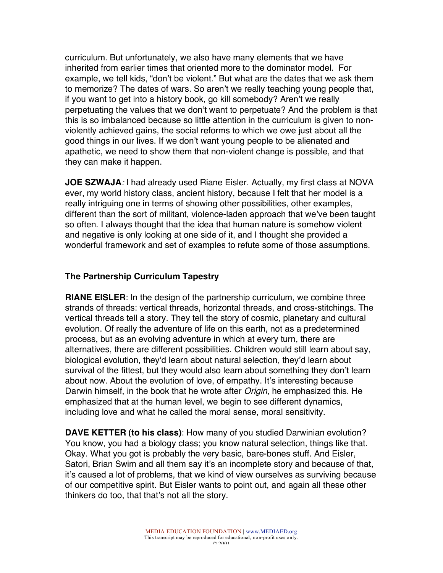curriculum. But unfortunately, we also have many elements that we have inherited from earlier times that oriented more to the dominator model. For example, we tell kids, "don't be violent." But what are the dates that we ask them to memorize? The dates of wars. So aren't we really teaching young people that, if you want to get into a history book, go kill somebody? Aren't we really perpetuating the values that we don't want to perpetuate? And the problem is that this is so imbalanced because so little attention in the curriculum is given to nonviolently achieved gains, the social reforms to which we owe just about all the good things in our lives. If we don't want young people to be alienated and apathetic, we need to show them that non-violent change is possible, and that they can make it happen.

**JOE SZWAJA**: I had already used Riane Eisler. Actually, my first class at NOVA ever, my world history class, ancient history, because I felt that her model is a really intriguing one in terms of showing other possibilities, other examples, different than the sort of militant, violence-laden approach that we've been taught so often. I always thought that the idea that human nature is somehow violent and negative is only looking at one side of it, and I thought she provided a wonderful framework and set of examples to refute some of those assumptions.

## **The Partnership Curriculum Tapestry**

**RIANE EISLER**: In the design of the partnership curriculum, we combine three strands of threads: vertical threads, horizontal threads, and cross-stitchings. The vertical threads tell a story. They tell the story of cosmic, planetary and cultural evolution. Of really the adventure of life on this earth, not as a predetermined process, but as an evolving adventure in which at every turn, there are alternatives, there are different possibilities. Children would still learn about say, biological evolution, they'd learn about natural selection, they'd learn about survival of the fittest, but they would also learn about something they don't learn about now. About the evolution of love, of empathy. It's interesting because Darwin himself, in the book that he wrote after *Origin*, he emphasized this. He emphasized that at the human level, we begin to see different dynamics, including love and what he called the moral sense, moral sensitivity.

**DAVE KETTER (to his class)**: How many of you studied Darwinian evolution? You know, you had a biology class; you know natural selection, things like that. Okay. What you got is probably the very basic, bare-bones stuff. And Eisler, Satori, Brian Swim and all them say it's an incomplete story and because of that, it's caused a lot of problems, that we kind of view ourselves as surviving because of our competitive spirit. But Eisler wants to point out, and again all these other thinkers do too, that that's not all the story.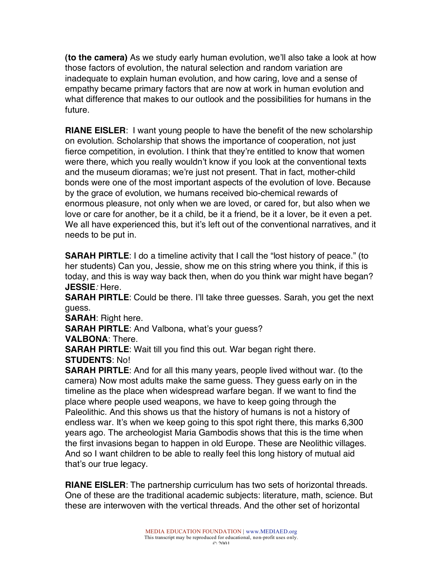**(to the camera)** As we study early human evolution, we'll also take a look at how those factors of evolution, the natural selection and random variation are inadequate to explain human evolution, and how caring, love and a sense of empathy became primary factors that are now at work in human evolution and what difference that makes to our outlook and the possibilities for humans in the future.

**RIANE EISLER**: I want young people to have the benefit of the new scholarship on evolution. Scholarship that shows the importance of cooperation, not just fierce competition, in evolution. I think that they're entitled to know that women were there, which you really wouldn't know if you look at the conventional texts and the museum dioramas; we're just not present. That in fact, mother-child bonds were one of the most important aspects of the evolution of love. Because by the grace of evolution, we humans received bio-chemical rewards of enormous pleasure, not only when we are loved, or cared for, but also when we love or care for another, be it a child, be it a friend, be it a lover, be it even a pet. We all have experienced this, but it's left out of the conventional narratives, and it needs to be put in.

**SARAH PIRTLE:** I do a timeline activity that I call the "lost history of peace." (to her students) Can you, Jessie, show me on this string where you think, if this is today, and this is way way back then, when do you think war might have began? **JESSIE**: Here.

**SARAH PIRTLE**: Could be there. I'll take three guesses. Sarah, you get the next guess.

**SARAH**: Right here.

**SARAH PIRTLE**: And Valbona, what's your guess?

**VALBONA**: There.

**SARAH PIRTLE**: Wait till you find this out. War began right there.

**STUDENTS**: No!

**SARAH PIRTLE**: And for all this many years, people lived without war. (to the camera) Now most adults make the same guess. They guess early on in the timeline as the place when widespread warfare began. If we want to find the place where people used weapons, we have to keep going through the Paleolithic. And this shows us that the history of humans is not a history of endless war. It's when we keep going to this spot right there, this marks 6,300 years ago. The archeologist Maria Gambodis shows that this is the time when the first invasions began to happen in old Europe. These are Neolithic villages. And so I want children to be able to really feel this long history of mutual aid that's our true legacy.

**RIANE EISLER**: The partnership curriculum has two sets of horizontal threads. One of these are the traditional academic subjects: literature, math, science. But these are interwoven with the vertical threads. And the other set of horizontal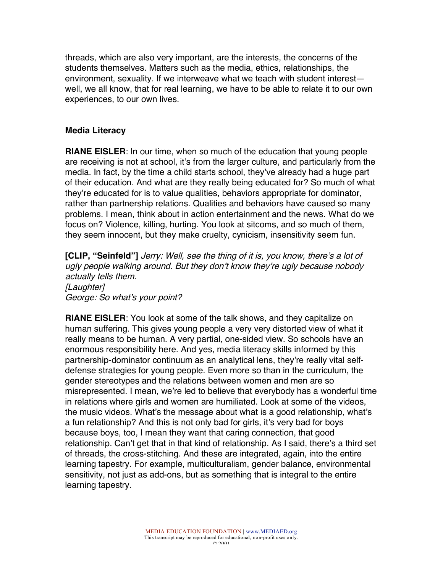threads, which are also very important, are the interests, the concerns of the students themselves. Matters such as the media, ethics, relationships, the environment, sexuality. If we interweave what we teach with student interest well, we all know, that for real learning, we have to be able to relate it to our own experiences, to our own lives.

#### **Media Literacy**

**RIANE EISLER**: In our time, when so much of the education that young people are receiving is not at school, it's from the larger culture, and particularly from the media. In fact, by the time a child starts school, they've already had a huge part of their education. And what are they really being educated for? So much of what they're educated for is to value qualities, behaviors appropriate for dominator, rather than partnership relations. Qualities and behaviors have caused so many problems. I mean, think about in action entertainment and the news. What do we focus on? Violence, killing, hurting. You look at sitcoms, and so much of them, they seem innocent, but they make cruelty, cynicism, insensitivity seem fun.

**[CLIP, "Seinfeld"]** Jerry: Well, see the thing of it is, you know, there's a lot of ugly people walking around. But they don't know they're ugly because nobody actually tells them. [Laughter] George: So what's your point?

**RIANE EISLER**: You look at some of the talk shows, and they capitalize on human suffering. This gives young people a very very distorted view of what it really means to be human. A very partial, one-sided view. So schools have an enormous responsibility here. And yes, media literacy skills informed by this partnership-dominator continuum as an analytical lens, they're really vital selfdefense strategies for young people. Even more so than in the curriculum, the gender stereotypes and the relations between women and men are so misrepresented. I mean, we're led to believe that everybody has a wonderful time in relations where girls and women are humiliated. Look at some of the videos, the music videos. What's the message about what is a good relationship, what's a fun relationship? And this is not only bad for girls, it's very bad for boys because boys, too, I mean they want that caring connection, that good relationship. Can't get that in that kind of relationship. As I said, there's a third set of threads, the cross-stitching. And these are integrated, again, into the entire learning tapestry. For example, multiculturalism, gender balance, environmental sensitivity, not just as add-ons, but as something that is integral to the entire learning tapestry.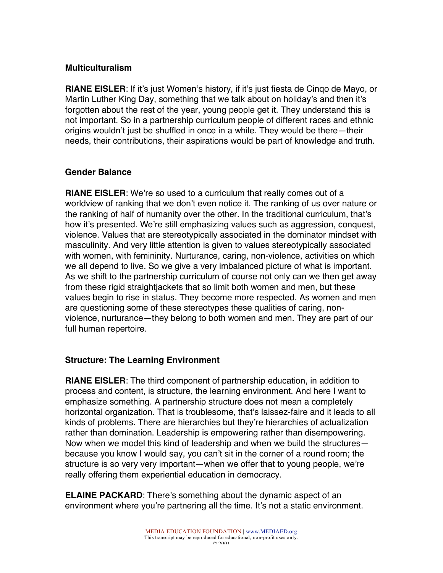## **Multiculturalism**

**RIANE EISLER**: If it's just Women's history, if it's just fiesta de Cinqo de Mayo, or Martin Luther King Day, something that we talk about on holiday's and then it's forgotten about the rest of the year, young people get it. They understand this is not important. So in a partnership curriculum people of different races and ethnic origins wouldn't just be shuffled in once in a while. They would be there—their needs, their contributions, their aspirations would be part of knowledge and truth.

## **Gender Balance**

**RIANE EISLER**: We're so used to a curriculum that really comes out of a worldview of ranking that we don't even notice it. The ranking of us over nature or the ranking of half of humanity over the other. In the traditional curriculum, that's how it's presented. We're still emphasizing values such as aggression, conquest, violence. Values that are stereotypically associated in the dominator mindset with masculinity. And very little attention is given to values stereotypically associated with women, with femininity. Nurturance, caring, non-violence, activities on which we all depend to live. So we give a very imbalanced picture of what is important. As we shift to the partnership curriculum of course not only can we then get away from these rigid straightjackets that so limit both women and men, but these values begin to rise in status. They become more respected. As women and men are questioning some of these stereotypes these qualities of caring, nonviolence, nurturance—they belong to both women and men. They are part of our full human repertoire.

## **Structure: The Learning Environment**

**RIANE EISLER**: The third component of partnership education, in addition to process and content, is structure, the learning environment. And here I want to emphasize something. A partnership structure does not mean a completely horizontal organization. That is troublesome, that's laissez-faire and it leads to all kinds of problems. There are hierarchies but they're hierarchies of actualization rather than domination. Leadership is empowering rather than disempowering. Now when we model this kind of leadership and when we build the structures because you know I would say, you can't sit in the corner of a round room; the structure is so very very important—when we offer that to young people, we're really offering them experiential education in democracy.

**ELAINE PACKARD**: There's something about the dynamic aspect of an environment where you're partnering all the time. It's not a static environment.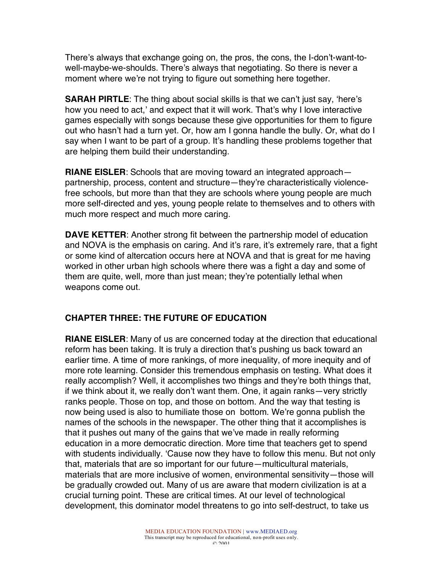There's always that exchange going on, the pros, the cons, the I-don't-want-towell-maybe-we-shoulds. There's always that negotiating. So there is never a moment where we're not trying to figure out something here together.

**SARAH PIRTLE**: The thing about social skills is that we can't just say, 'here's how you need to act,' and expect that it will work. That's why I love interactive games especially with songs because these give opportunities for them to figure out who hasn't had a turn yet. Or, how am I gonna handle the bully. Or, what do I say when I want to be part of a group. It's handling these problems together that are helping them build their understanding.

**RIANE EISLER**: Schools that are moving toward an integrated approach partnership, process, content and structure—they're characteristically violencefree schools, but more than that they are schools where young people are much more self-directed and yes, young people relate to themselves and to others with much more respect and much more caring.

**DAVE KETTER**: Another strong fit between the partnership model of education and NOVA is the emphasis on caring. And it's rare, it's extremely rare, that a fight or some kind of altercation occurs here at NOVA and that is great for me having worked in other urban high schools where there was a fight a day and some of them are quite, well, more than just mean; they're potentially lethal when weapons come out.

# **CHAPTER THREE: THE FUTURE OF EDUCATION**

**RIANE EISLER**: Many of us are concerned today at the direction that educational reform has been taking. It is truly a direction that's pushing us back toward an earlier time. A time of more rankings, of more inequality, of more inequity and of more rote learning. Consider this tremendous emphasis on testing. What does it really accomplish? Well, it accomplishes two things and they're both things that, if we think about it, we really don't want them. One, it again ranks—very strictly ranks people. Those on top, and those on bottom. And the way that testing is now being used is also to humiliate those on bottom. We're gonna publish the names of the schools in the newspaper. The other thing that it accomplishes is that it pushes out many of the gains that we've made in really reforming education in a more democratic direction. More time that teachers get to spend with students individually. 'Cause now they have to follow this menu. But not only that, materials that are so important for our future—multicultural materials, materials that are more inclusive of women, environmental sensitivity—those will be gradually crowded out. Many of us are aware that modern civilization is at a crucial turning point. These are critical times. At our level of technological development, this dominator model threatens to go into self-destruct, to take us